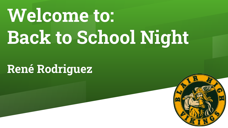## **Welcome to: Back to School Night**

**René Rodriguez**

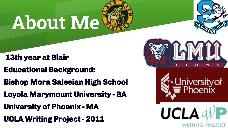# **About Me**

- **13th year at Blair**
- **Educational Background:**
- **Bishop Mora Salesian High School**
- **Loyola Marymount University BA**
- **University of Phoenix MA**
- **UCLA Writing Project 2011**



**UCLA** 

WRITING PROJECT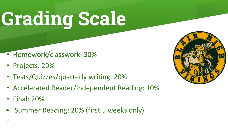# **Grading Scale**

- Homework/classwork: 30%
- Projects: 20%
- Tests/Quizzes/quarterly writing: 20%
- Accelerated Reader/Independent Reading: 10%
- Final: 20%
- Summer Reading: 20% (first 5 weeks only)

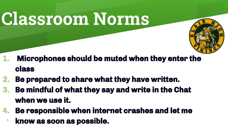### **Classroom Norms**



- **1. Microphones should be muted when they enter the class**
- **2. Be prepared to share what they have written.**
- **3. Be mindful of what they say and write in the Chat when we use it.**
- **4. Be responsible when internet crashes and let me** 
	- **know as soon as possible.** 4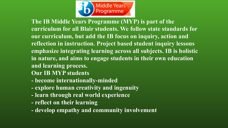

**The IB Middle Years Programme (MYP) is part of the curriculum for all Blair students. We follow state standards for our curriculum, but add the IB focus on inquiry, action and reflection in instruction. Project based student inquiry lessons emphasize integrating learning across all subjects. IB is holistic in nature, and aims to engage students in their own education and learning process.**

- **Our IB MYP students**
- **become internationally-minded**
- **explore human creativity and ingenuity**
- **learn through real world experience**
- **reflect on their learning**
- **develop empathy and community involvement**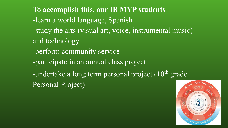**To accomplish this, our IB MYP students** -learn a world language, Spanish -study the arts (visual art, voice, instrumental music) and technology -perform community service -participate in an annual class project -undertake a long term personal project  $(10<sup>th</sup>$  grade Personal Project)

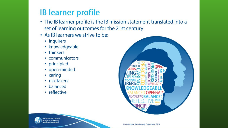### **IB** learner profile

- The IB learner profile is the IB mission statement translated into a set of learning outcomes for the 21st century
- As IB learners we strive to be:
	- inquirers
	- knowledgeable
	- thinkers
	- communicators
	- principled
	- open-minded
	- caring
	- · risk-takers
	- balanced
	- reflective